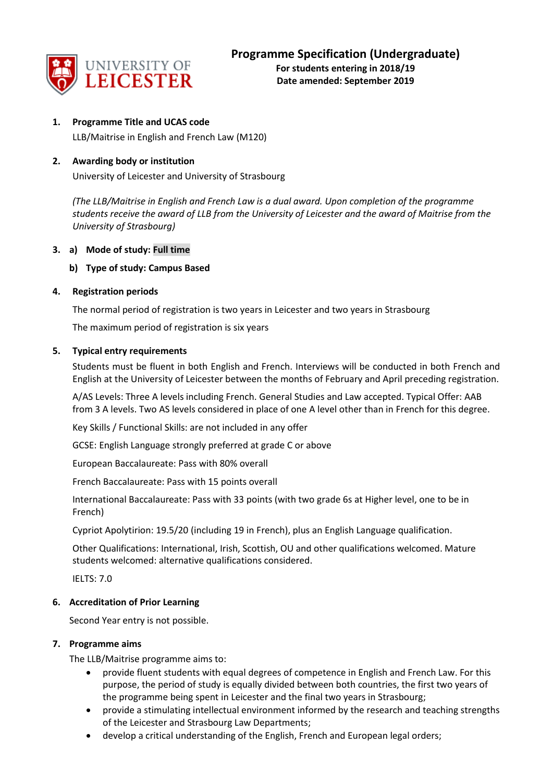

**1. Programme Title and UCAS code**

LLB/Maitrise in English and French Law (M120)

## **2. Awarding body or institution**

University of Leicester and University of Strasbourg

*(The LLB/Maitrise in English and French Law is a dual award. Upon completion of the programme students receive the award of LLB from the University of Leicester and the award of Maitrise from the University of Strasbourg)*

## **3. a) Mode of study: Full time**

## **b) Type of study: Campus Based**

## **4. Registration periods**

The normal period of registration is two years in Leicester and two years in Strasbourg

The maximum period of registration is six years

## **5. Typical entry requirements**

Students must be fluent in both English and French. Interviews will be conducted in both French and English at the University of Leicester between the months of February and April preceding registration.

A/AS Levels: Three A levels including French. General Studies and Law accepted. Typical Offer: AAB from 3 A levels. Two AS levels considered in place of one A level other than in French for this degree.

Key Skills / Functional Skills: are not included in any offer

GCSE: English Language strongly preferred at grade C or above

European Baccalaureate: Pass with 80% overall

French Baccalaureate: Pass with 15 points overall

International Baccalaureate: Pass with 33 points (with two grade 6s at Higher level, one to be in French)

Cypriot Apolytirion: 19.5/20 (including 19 in French), plus an English Language qualification.

Other Qualifications: International, Irish, Scottish, OU and other qualifications welcomed. Mature students welcomed: alternative qualifications considered.

IELTS: 7.0

## **6. Accreditation of Prior Learning**

Second Year entry is not possible.

### **7. Programme aims**

The LLB/Maitrise programme aims to:

- provide fluent students with equal degrees of competence in English and French Law. For this purpose, the period of study is equally divided between both countries, the first two years of the programme being spent in Leicester and the final two years in Strasbourg;
- provide a stimulating intellectual environment informed by the research and teaching strengths of the Leicester and Strasbourg Law Departments;
- develop a critical understanding of the English, French and European legal orders;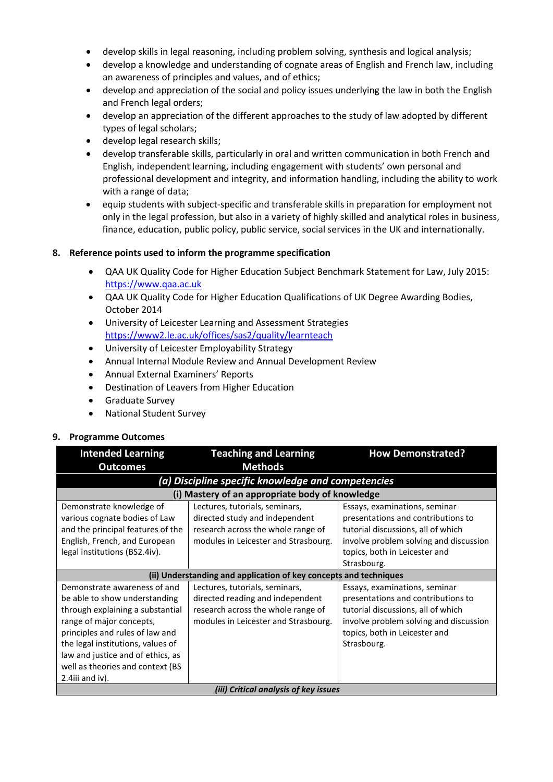- develop skills in legal reasoning, including problem solving, synthesis and logical analysis;
- develop a knowledge and understanding of cognate areas of English and French law, including an awareness of principles and values, and of ethics;
- develop and appreciation of the social and policy issues underlying the law in both the English and French legal orders;
- develop an appreciation of the different approaches to the study of law adopted by different types of legal scholars;
- develop legal research skills;
- develop transferable skills, particularly in oral and written communication in both French and English, independent learning, including engagement with students' own personal and professional development and integrity, and information handling, including the ability to work with a range of data;
- equip students with subject-specific and transferable skills in preparation for employment not only in the legal profession, but also in a variety of highly skilled and analytical roles in business, finance, education, public policy, public service, social services in the UK and internationally.

### **8. Reference points used to inform the programme specification**

- QAA UK Quality Code for Higher Education Subject Benchmark Statement for Law, July 2015: [https://www.qaa.ac.uk](https://www.qaa.ac.uk/)
- QAA UK Quality Code for Higher Education Qualifications of UK Degree Awarding Bodies, October 2014
- University of Leicester Learning and Assessment Strategies <https://www2.le.ac.uk/offices/sas2/quality/learnteach>
- University of Leicester Employability Strategy
- Annual Internal Module Review and Annual Development Review
- Annual External Examiners' Reports
- Destination of Leavers from Higher Education
- Graduate Survey
- National Student Survey

## **9. Programme Outcomes**

| <b>Intended Learning</b>                                                                                                                                                                                                                                                                                                                                                                                                                                                                                                                                                                                                               | <b>Teaching and Learning</b>                       | <b>How Demonstrated?</b>                                                                                           |  |  |  |
|----------------------------------------------------------------------------------------------------------------------------------------------------------------------------------------------------------------------------------------------------------------------------------------------------------------------------------------------------------------------------------------------------------------------------------------------------------------------------------------------------------------------------------------------------------------------------------------------------------------------------------------|----------------------------------------------------|--------------------------------------------------------------------------------------------------------------------|--|--|--|
| <b>Outcomes</b>                                                                                                                                                                                                                                                                                                                                                                                                                                                                                                                                                                                                                        | <b>Methods</b>                                     |                                                                                                                    |  |  |  |
|                                                                                                                                                                                                                                                                                                                                                                                                                                                                                                                                                                                                                                        | (a) Discipline specific knowledge and competencies |                                                                                                                    |  |  |  |
|                                                                                                                                                                                                                                                                                                                                                                                                                                                                                                                                                                                                                                        | (i) Mastery of an appropriate body of knowledge    |                                                                                                                    |  |  |  |
| Demonstrate knowledge of<br>Lectures, tutorials, seminars,<br>Essays, examinations, seminar<br>various cognate bodies of Law<br>directed study and independent<br>presentations and contributions to<br>and the principal features of the<br>research across the whole range of<br>tutorial discussions, all of which<br>English, French, and European<br>modules in Leicester and Strasbourg.<br>involve problem solving and discussion<br>legal institutions (BS2.4iv).<br>topics, both in Leicester and                                                                                                                             |                                                    |                                                                                                                    |  |  |  |
|                                                                                                                                                                                                                                                                                                                                                                                                                                                                                                                                                                                                                                        | Strasbourg.                                        |                                                                                                                    |  |  |  |
| (ii) Understanding and application of key concepts and techniques<br>Demonstrate awareness of and<br>Lectures, tutorials, seminars,<br>Essays, examinations, seminar<br>directed reading and independent<br>be able to show understanding<br>research across the whole range of<br>through explaining a substantial<br>range of major concepts,<br>modules in Leicester and Strasbourg.<br>principles and rules of law and<br>topics, both in Leicester and<br>the legal institutions, values of<br>Strasbourg.<br>law and justice and of ethics, as<br>well as theories and context (BS<br>2.4 $\overline{i}$ and $\overline{i}$ iv). |                                                    | presentations and contributions to<br>tutorial discussions, all of which<br>involve problem solving and discussion |  |  |  |
| (iii) Critical analysis of key issues                                                                                                                                                                                                                                                                                                                                                                                                                                                                                                                                                                                                  |                                                    |                                                                                                                    |  |  |  |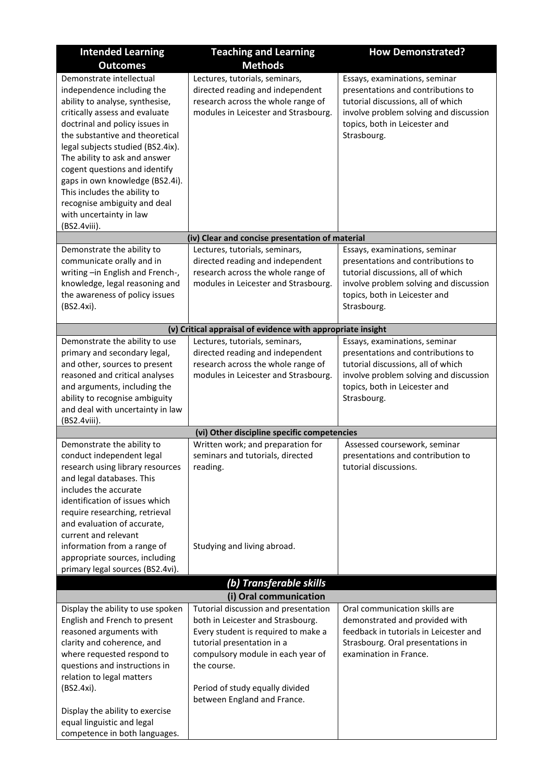| <b>Intended Learning</b>                                                                                                                                                                                                                                                                                                                                                                                                                                                                                                                | <b>Teaching and Learning</b>                                                                                                                                                                                                                                                         | <b>How Demonstrated?</b>                                                                                                                                                                                                                                                                          |
|-----------------------------------------------------------------------------------------------------------------------------------------------------------------------------------------------------------------------------------------------------------------------------------------------------------------------------------------------------------------------------------------------------------------------------------------------------------------------------------------------------------------------------------------|--------------------------------------------------------------------------------------------------------------------------------------------------------------------------------------------------------------------------------------------------------------------------------------|---------------------------------------------------------------------------------------------------------------------------------------------------------------------------------------------------------------------------------------------------------------------------------------------------|
| <b>Outcomes</b>                                                                                                                                                                                                                                                                                                                                                                                                                                                                                                                         | <b>Methods</b>                                                                                                                                                                                                                                                                       |                                                                                                                                                                                                                                                                                                   |
| Demonstrate intellectual<br>independence including the<br>ability to analyse, synthesise,<br>critically assess and evaluate<br>doctrinal and policy issues in<br>the substantive and theoretical<br>legal subjects studied (BS2.4ix).<br>The ability to ask and answer<br>cogent questions and identify<br>gaps in own knowledge (BS2.4i).<br>This includes the ability to<br>recognise ambiguity and deal<br>with uncertainty in law<br>(BS2.4viii).                                                                                   | Lectures, tutorials, seminars,<br>directed reading and independent<br>research across the whole range of<br>modules in Leicester and Strasbourg.                                                                                                                                     | Essays, examinations, seminar<br>presentations and contributions to<br>tutorial discussions, all of which<br>involve problem solving and discussion<br>topics, both in Leicester and<br>Strasbourg.                                                                                               |
|                                                                                                                                                                                                                                                                                                                                                                                                                                                                                                                                         | (iv) Clear and concise presentation of material                                                                                                                                                                                                                                      |                                                                                                                                                                                                                                                                                                   |
| Demonstrate the ability to<br>communicate orally and in<br>writing -in English and French-,<br>knowledge, legal reasoning and<br>the awareness of policy issues<br>(BS2.4xi).                                                                                                                                                                                                                                                                                                                                                           | Lectures, tutorials, seminars,<br>directed reading and independent<br>research across the whole range of<br>modules in Leicester and Strasbourg.                                                                                                                                     | Essays, examinations, seminar<br>presentations and contributions to<br>tutorial discussions, all of which<br>involve problem solving and discussion<br>topics, both in Leicester and<br>Strasbourg.                                                                                               |
|                                                                                                                                                                                                                                                                                                                                                                                                                                                                                                                                         | (v) Critical appraisal of evidence with appropriate insight                                                                                                                                                                                                                          |                                                                                                                                                                                                                                                                                                   |
| Demonstrate the ability to use<br>primary and secondary legal,<br>and other, sources to present<br>reasoned and critical analyses<br>and arguments, including the<br>ability to recognise ambiguity<br>and deal with uncertainty in law<br>(BS2.4viii).<br>Demonstrate the ability to<br>conduct independent legal<br>research using library resources<br>and legal databases. This<br>includes the accurate<br>identification of issues which<br>require researching, retrieval<br>and evaluation of accurate,<br>current and relevant | Lectures, tutorials, seminars,<br>directed reading and independent<br>research across the whole range of<br>modules in Leicester and Strasbourg.<br>(vi) Other discipline specific competencies<br>Written work; and preparation for<br>seminars and tutorials, directed<br>reading. | Essays, examinations, seminar<br>presentations and contributions to<br>tutorial discussions, all of which<br>involve problem solving and discussion<br>topics, both in Leicester and<br>Strasbourg.<br>Assessed coursework, seminar<br>presentations and contribution to<br>tutorial discussions. |
| information from a range of<br>appropriate sources, including<br>primary legal sources (BS2.4vi).                                                                                                                                                                                                                                                                                                                                                                                                                                       | Studying and living abroad.                                                                                                                                                                                                                                                          |                                                                                                                                                                                                                                                                                                   |
|                                                                                                                                                                                                                                                                                                                                                                                                                                                                                                                                         | (b) Transferable skills                                                                                                                                                                                                                                                              |                                                                                                                                                                                                                                                                                                   |
| Display the ability to use spoken                                                                                                                                                                                                                                                                                                                                                                                                                                                                                                       | (i) Oral communication<br>Tutorial discussion and presentation                                                                                                                                                                                                                       | Oral communication skills are                                                                                                                                                                                                                                                                     |
| English and French to present<br>reasoned arguments with<br>clarity and coherence, and<br>where requested respond to<br>questions and instructions in<br>relation to legal matters<br>(BS2.4xi).                                                                                                                                                                                                                                                                                                                                        | both in Leicester and Strasbourg.<br>Every student is required to make a<br>tutorial presentation in a<br>compulsory module in each year of<br>the course.<br>Period of study equally divided<br>between England and France.                                                         | demonstrated and provided with<br>feedback in tutorials in Leicester and<br>Strasbourg. Oral presentations in<br>examination in France.                                                                                                                                                           |
| Display the ability to exercise<br>equal linguistic and legal<br>competence in both languages.                                                                                                                                                                                                                                                                                                                                                                                                                                          |                                                                                                                                                                                                                                                                                      |                                                                                                                                                                                                                                                                                                   |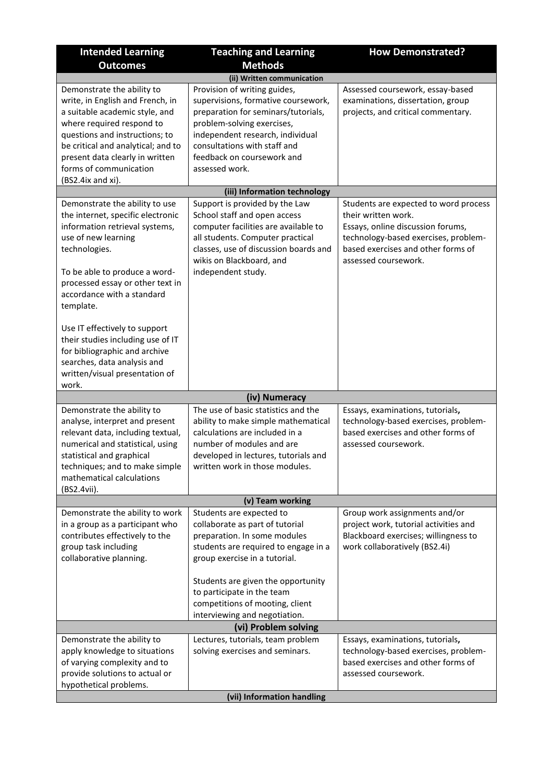| <b>Intended Learning</b>                                                                                                                                                                                                                                                                                                                                             | <b>Teaching and Learning</b>                                                                                                                                                                                                                                 | <b>How Demonstrated?</b>                                                                                                                                                                                |  |  |
|----------------------------------------------------------------------------------------------------------------------------------------------------------------------------------------------------------------------------------------------------------------------------------------------------------------------------------------------------------------------|--------------------------------------------------------------------------------------------------------------------------------------------------------------------------------------------------------------------------------------------------------------|---------------------------------------------------------------------------------------------------------------------------------------------------------------------------------------------------------|--|--|
| <b>Outcomes</b>                                                                                                                                                                                                                                                                                                                                                      | <b>Methods</b>                                                                                                                                                                                                                                               |                                                                                                                                                                                                         |  |  |
|                                                                                                                                                                                                                                                                                                                                                                      | (ii) Written communication                                                                                                                                                                                                                                   |                                                                                                                                                                                                         |  |  |
| Demonstrate the ability to<br>write, in English and French, in<br>a suitable academic style, and<br>where required respond to<br>questions and instructions; to<br>be critical and analytical; and to<br>present data clearly in written<br>forms of communication<br>(BS2.4ix and xi).                                                                              | Provision of writing guides,<br>supervisions, formative coursework,<br>preparation for seminars/tutorials,<br>problem-solving exercises,<br>independent research, individual<br>consultations with staff and<br>feedback on coursework and<br>assessed work. | Assessed coursework, essay-based<br>examinations, dissertation, group<br>projects, and critical commentary.                                                                                             |  |  |
|                                                                                                                                                                                                                                                                                                                                                                      | (iii) Information technology                                                                                                                                                                                                                                 |                                                                                                                                                                                                         |  |  |
| Demonstrate the ability to use<br>the internet, specific electronic<br>information retrieval systems,<br>use of new learning<br>technologies.<br>To be able to produce a word-<br>processed essay or other text in<br>accordance with a standard<br>template.<br>Use IT effectively to support<br>their studies including use of IT<br>for bibliographic and archive | Support is provided by the Law<br>School staff and open access<br>computer facilities are available to<br>all students. Computer practical<br>classes, use of discussion boards and<br>wikis on Blackboard, and<br>independent study.                        | Students are expected to word process<br>their written work.<br>Essays, online discussion forums,<br>technology-based exercises, problem-<br>based exercises and other forms of<br>assessed coursework. |  |  |
| searches, data analysis and<br>written/visual presentation of<br>work.                                                                                                                                                                                                                                                                                               |                                                                                                                                                                                                                                                              |                                                                                                                                                                                                         |  |  |
|                                                                                                                                                                                                                                                                                                                                                                      | (iv) Numeracy                                                                                                                                                                                                                                                |                                                                                                                                                                                                         |  |  |
| Demonstrate the ability to<br>analyse, interpret and present<br>relevant data, including textual,<br>numerical and statistical, using<br>statistical and graphical<br>techniques; and to make simple<br>mathematical calculations<br>(BS2.4vii).                                                                                                                     | The use of basic statistics and the<br>ability to make simple mathematical<br>calculations are included in a<br>number of modules and are<br>developed in lectures, tutorials and<br>written work in those modules.                                          | Essays, examinations, tutorials,<br>technology-based exercises, problem-<br>based exercises and other forms of<br>assessed coursework.                                                                  |  |  |
|                                                                                                                                                                                                                                                                                                                                                                      | (v) Team working                                                                                                                                                                                                                                             |                                                                                                                                                                                                         |  |  |
| Demonstrate the ability to work<br>in a group as a participant who<br>contributes effectively to the<br>group task including<br>collaborative planning.                                                                                                                                                                                                              | Students are expected to<br>collaborate as part of tutorial<br>preparation. In some modules<br>students are required to engage in a<br>group exercise in a tutorial.                                                                                         | Group work assignments and/or<br>project work, tutorial activities and<br>Blackboard exercises; willingness to<br>work collaboratively (BS2.4i)                                                         |  |  |
|                                                                                                                                                                                                                                                                                                                                                                      | Students are given the opportunity<br>to participate in the team<br>competitions of mooting, client<br>interviewing and negotiation.                                                                                                                         |                                                                                                                                                                                                         |  |  |
|                                                                                                                                                                                                                                                                                                                                                                      | (vi) Problem solving                                                                                                                                                                                                                                         |                                                                                                                                                                                                         |  |  |
| Demonstrate the ability to<br>apply knowledge to situations<br>of varying complexity and to<br>provide solutions to actual or<br>hypothetical problems.                                                                                                                                                                                                              | Lectures, tutorials, team problem<br>solving exercises and seminars.                                                                                                                                                                                         | Essays, examinations, tutorials,<br>technology-based exercises, problem-<br>based exercises and other forms of<br>assessed coursework.                                                                  |  |  |
| (vii) Information handling                                                                                                                                                                                                                                                                                                                                           |                                                                                                                                                                                                                                                              |                                                                                                                                                                                                         |  |  |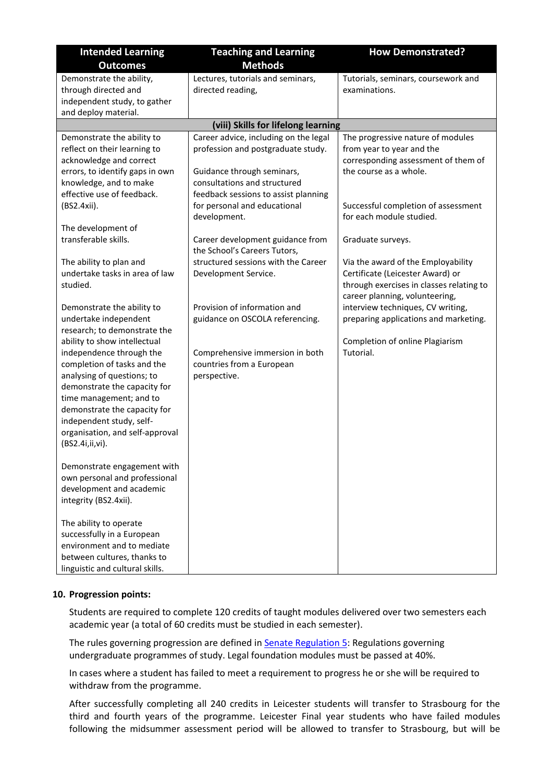| <b>Intended Learning</b>                                                                                                                                                                                                                                                                                                                                                                  | <b>Teaching and Learning</b>                                                                                                                                                                                                      | <b>How Demonstrated?</b>                                                                                                                                                                           |  |  |  |  |
|-------------------------------------------------------------------------------------------------------------------------------------------------------------------------------------------------------------------------------------------------------------------------------------------------------------------------------------------------------------------------------------------|-----------------------------------------------------------------------------------------------------------------------------------------------------------------------------------------------------------------------------------|----------------------------------------------------------------------------------------------------------------------------------------------------------------------------------------------------|--|--|--|--|
| <b>Outcomes</b>                                                                                                                                                                                                                                                                                                                                                                           | <b>Methods</b>                                                                                                                                                                                                                    |                                                                                                                                                                                                    |  |  |  |  |
| Demonstrate the ability,<br>through directed and<br>independent study, to gather<br>and deploy material.                                                                                                                                                                                                                                                                                  | Lectures, tutorials and seminars,<br>directed reading,                                                                                                                                                                            | Tutorials, seminars, coursework and<br>examinations.                                                                                                                                               |  |  |  |  |
|                                                                                                                                                                                                                                                                                                                                                                                           | (viii) Skills for lifelong learning                                                                                                                                                                                               |                                                                                                                                                                                                    |  |  |  |  |
| Demonstrate the ability to<br>reflect on their learning to<br>acknowledge and correct<br>errors, to identify gaps in own<br>knowledge, and to make<br>effective use of feedback.<br>(BS2.4xii).                                                                                                                                                                                           | Career advice, including on the legal<br>profession and postgraduate study.<br>Guidance through seminars,<br>consultations and structured<br>feedback sessions to assist planning<br>for personal and educational<br>development. | The progressive nature of modules<br>from year to year and the<br>corresponding assessment of them of<br>the course as a whole.<br>Successful completion of assessment<br>for each module studied. |  |  |  |  |
| The development of<br>transferable skills.                                                                                                                                                                                                                                                                                                                                                | Career development guidance from<br>the School's Careers Tutors,                                                                                                                                                                  | Graduate surveys.                                                                                                                                                                                  |  |  |  |  |
| The ability to plan and<br>undertake tasks in area of law<br>studied.                                                                                                                                                                                                                                                                                                                     | structured sessions with the Career<br>Development Service.                                                                                                                                                                       | Via the award of the Employability<br>Certificate (Leicester Award) or<br>through exercises in classes relating to<br>career planning, volunteering,                                               |  |  |  |  |
| Demonstrate the ability to<br>undertake independent<br>research; to demonstrate the<br>ability to show intellectual<br>independence through the<br>completion of tasks and the<br>analysing of questions; to<br>demonstrate the capacity for<br>time management; and to<br>demonstrate the capacity for<br>independent study, self-<br>organisation, and self-approval<br>(BS2.4i,ii,vi). | Provision of information and<br>guidance on OSCOLA referencing.<br>Comprehensive immersion in both<br>countries from a European<br>perspective.                                                                                   | interview techniques, CV writing,<br>preparing applications and marketing.<br>Completion of online Plagiarism<br>Tutorial.                                                                         |  |  |  |  |
| Demonstrate engagement with<br>own personal and professional<br>development and academic<br>integrity (BS2.4xii).<br>The ability to operate<br>successfully in a European<br>environment and to mediate<br>between cultures, thanks to<br>linguistic and cultural skills.                                                                                                                 |                                                                                                                                                                                                                                   |                                                                                                                                                                                                    |  |  |  |  |

### **10. Progression points:**

Students are required to complete 120 credits of taught modules delivered over two semesters each academic year (a total of 60 credits must be studied in each semester).

The rules governing progression are defined in **Senate Regulation 5:** Regulations governing undergraduate programmes of study. Legal foundation modules must be passed at 40%.

In cases where a student has failed to meet a requirement to progress he or she will be required to withdraw from the programme.

After successfully completing all 240 credits in Leicester students will transfer to Strasbourg for the third and fourth years of the programme. Leicester Final year students who have failed modules following the midsummer assessment period will be allowed to transfer to Strasbourg, but will be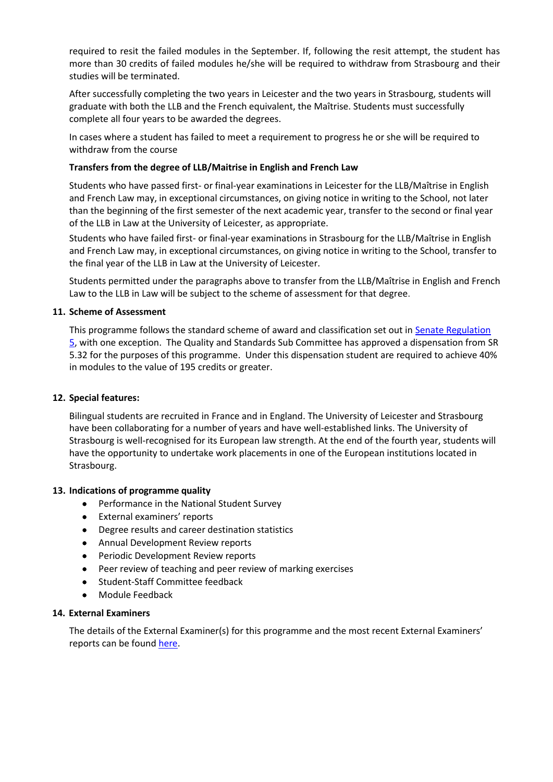required to resit the failed modules in the September. If, following the resit attempt, the student has more than 30 credits of failed modules he/she will be required to withdraw from Strasbourg and their studies will be terminated.

After successfully completing the two years in Leicester and the two years in Strasbourg, students will graduate with both the LLB and the French equivalent, the Maîtrise. Students must successfully complete all four years to be awarded the degrees.

In cases where a student has failed to meet a requirement to progress he or she will be required to withdraw from the course

### **Transfers from the degree of LLB/Maitrise in English and French Law**

Students who have passed first- or final-year examinations in Leicester for the LLB/Maîtrise in English and French Law may, in exceptional circumstances, on giving notice in writing to the School, not later than the beginning of the first semester of the next academic year, transfer to the second or final year of the LLB in Law at the University of Leicester, as appropriate.

Students who have failed first- or final-year examinations in Strasbourg for the LLB/Maîtrise in English and French Law may, in exceptional circumstances, on giving notice in writing to the School, transfer to the final year of the LLB in Law at the University of Leicester.

Students permitted under the paragraphs above to transfer from the LLB/Maîtrise in English and French Law to the LLB in Law will be subject to the scheme of assessment for that degree.

### **11. Scheme of Assessment**

This programme follows the standard scheme of award and classification set out in [Senate Regulation](https://eur03.safelinks.protection.outlook.com/?url=http%3A%2F%2Fwww2.le.ac.uk%2Foffices%2Fsas2%2Fregulations%2Fdocuments%2Fsenatereg5-undergraduates.pdf&data=02%7C01%7Ckm347%40leicester.ac.uk%7Cc35d8264a032488d8b8d08d735e46b95%7Caebecd6a31d44b0195ce8274afe853d9%7C0%7C0%7C637037127476896773&sdata=Scg%2FwW6wnsgfdwg1oJxylOVpJWmuW2u5GzVd4EGguPM%3D&reserved=0)  [5,](https://eur03.safelinks.protection.outlook.com/?url=http%3A%2F%2Fwww2.le.ac.uk%2Foffices%2Fsas2%2Fregulations%2Fdocuments%2Fsenatereg5-undergraduates.pdf&data=02%7C01%7Ckm347%40leicester.ac.uk%7Cc35d8264a032488d8b8d08d735e46b95%7Caebecd6a31d44b0195ce8274afe853d9%7C0%7C0%7C637037127476896773&sdata=Scg%2FwW6wnsgfdwg1oJxylOVpJWmuW2u5GzVd4EGguPM%3D&reserved=0) with one exception. The Quality and Standards Sub Committee has approved a dispensation from SR 5.32 for the purposes of this programme. Under this dispensation student are required to achieve 40% in modules to the value of 195 credits or greater.

### **12. Special features:**

Bilingual students are recruited in France and in England. The University of Leicester and Strasbourg have been collaborating for a number of years and have well-established links. The University of Strasbourg is well-recognised for its European law strength. At the end of the fourth year, students will have the opportunity to undertake work placements in one of the European institutions located in Strasbourg.

### **13. Indications of programme quality**

- Performance in the National Student Survey
- External examiners' reports
- Degree results and career destination statistics
- Annual Development Review reports
- **•** Periodic Development Review reports
- Peer review of teaching and peer review of marking exercises
- Student-Staff Committee feedback
- Module Feedback

### **14. External Examiners**

The details of the External Examiner(s) for this programme and the most recent External Examiners' reports can be foun[d here.](https://exampapers.le.ac.uk/xmlui/handle/123456789/8)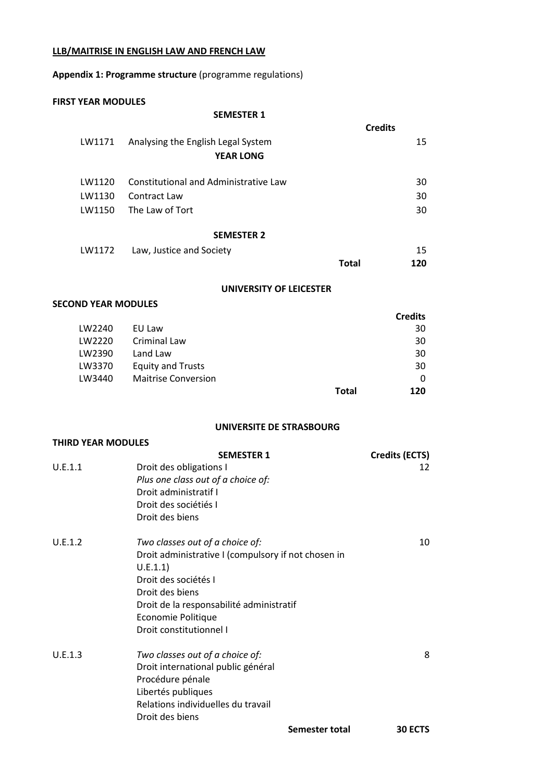### **LLB/MAITRISE IN ENGLISH LAW AND FRENCH LAW**

## **Appendix 1: Programme structure** (programme regulations)

#### **FIRST YEAR MODULES**

#### **SEMESTER 1**

|        |                                       | <b>Credits</b> |  |
|--------|---------------------------------------|----------------|--|
| LW1171 | Analysing the English Legal System    | 15             |  |
|        | <b>YEAR LONG</b>                      |                |  |
|        |                                       |                |  |
| LW1120 | Constitutional and Administrative Law | 30             |  |
| LW1130 | Contract Law                          | 30             |  |
| LW1150 | The Law of Tort                       | 30             |  |
|        |                                       |                |  |
|        | <b>SEMESTER 2</b>                     |                |  |
| LW1172 | Law, Justice and Society              | 15             |  |
|        |                                       | Total<br>120   |  |

### **UNIVERSITY OF LEICESTER**

### **SECOND YEAR MODULES**

|        |                            |       | <b>Credits</b> |
|--------|----------------------------|-------|----------------|
| LW2240 | EU Law                     |       | 30             |
| LW2220 | Criminal Law               |       | 30             |
| LW2390 | Land Law                   |       | 30             |
| LW3370 | <b>Equity and Trusts</b>   |       | 30             |
| LW3440 | <b>Maitrise Conversion</b> |       | 0              |
|        |                            | Total | 120            |

## **UNIVERSITE DE STRASBOURG**

| <b>THIRD YEAR MODULES</b> |                                                                                                                                                                                                                                            |                       |
|---------------------------|--------------------------------------------------------------------------------------------------------------------------------------------------------------------------------------------------------------------------------------------|-----------------------|
|                           | <b>SEMESTER 1</b>                                                                                                                                                                                                                          | <b>Credits (ECTS)</b> |
| U.E.1.1                   | Droit des obligations I<br>Plus one class out of a choice of:<br>Droit administratif I<br>Droit des sociétiés I<br>Droit des biens                                                                                                         | 12                    |
| U.E.1.2                   | Two classes out of a choice of:<br>Droit administrative I (compulsory if not chosen in<br>U.E.1.1)<br>Droit des sociétés I<br>Droit des biens<br>Droit de la responsabilité administratif<br>Economie Politique<br>Droit constitutionnel I | 10                    |
| U.E.1.3                   | Two classes out of a choice of:<br>Droit international public général<br>Procédure pénale<br>Libertés publiques<br>Relations individuelles du travail<br>Droit des biens                                                                   | 8                     |
|                           | Semester total                                                                                                                                                                                                                             | 30 ECTS               |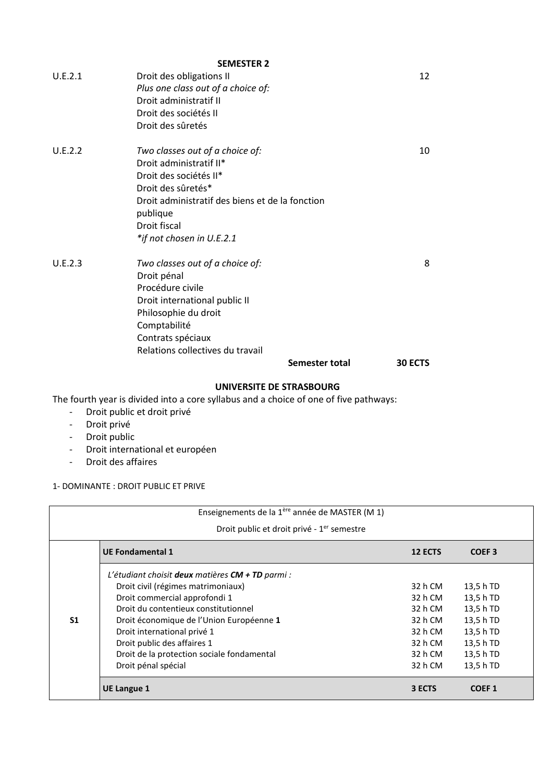|         | <b>SEMESTER 2</b>                               |                |         |
|---------|-------------------------------------------------|----------------|---------|
| U.E.2.1 | Droit des obligations II                        |                | 12      |
|         | Plus one class out of a choice of:              |                |         |
|         | Droit administratif II                          |                |         |
|         | Droit des sociétés II                           |                |         |
|         | Droit des sûretés                               |                |         |
| U.E.2.2 | Two classes out of a choice of:                 |                | 10      |
|         | Droit administratif II*                         |                |         |
|         | Droit des sociétés II*                          |                |         |
|         | Droit des sûretés*                              |                |         |
|         | Droit administratif des biens et de la fonction |                |         |
|         | publique                                        |                |         |
|         | Droit fiscal                                    |                |         |
|         | *if not chosen in U.E.2.1                       |                |         |
| U.E.2.3 | Two classes out of a choice of:                 |                | 8       |
|         | Droit pénal                                     |                |         |
|         | Procédure civile                                |                |         |
|         | Droit international public II                   |                |         |
|         | Philosophie du droit                            |                |         |
|         | Comptabilité                                    |                |         |
|         | Contrats spéciaux                               |                |         |
|         | Relations collectives du travail                |                |         |
|         |                                                 | Semester total | 30 ECTS |
|         |                                                 |                |         |

### **UNIVERSITE DE STRASBOURG**

The fourth year is divided into a core syllabus and a choice of one of five pathways:

- Droit public et droit privé
- Droit privé
- Droit public
- Droit international et européen
- Droit des affaires

1- DOMINANTE : DROIT PUBLIC ET PRIVE

| Enseignements de la 1ère année de MASTER (M 1) |                                                                                                                                                |                                          |                                                  |
|------------------------------------------------|------------------------------------------------------------------------------------------------------------------------------------------------|------------------------------------------|--------------------------------------------------|
|                                                | Droit public et droit privé - 1 <sup>er</sup> semestre                                                                                         |                                          |                                                  |
|                                                | <b>UE Fondamental 1</b>                                                                                                                        | 12 ECTS                                  | COEF <sub>3</sub>                                |
|                                                | L'étudiant choisit deux matières $CM + TD$ parmi :<br>Droit civil (régimes matrimoniaux)<br>Droit commercial approfondi 1                      | 32 h CM<br>32 h CM                       | 13,5 h TD<br>13,5 h TD                           |
| S <sub>1</sub>                                 | Droit du contentieux constitutionnel<br>Droit économique de l'Union Européenne 1<br>Droit international privé 1<br>Droit public des affaires 1 | 32 h CM<br>32 h CM<br>32 h CM<br>32 h CM | 13,5 h TD<br>13,5 h TD<br>13,5 h TD<br>13,5 h TD |
|                                                | Droit de la protection sociale fondamental<br>Droit pénal spécial                                                                              | 32 h CM<br>32 h CM                       | 13,5 h TD<br>13,5 h TD                           |
|                                                | <b>UE Langue 1</b>                                                                                                                             | 3 ECTS                                   | <b>COEF1</b>                                     |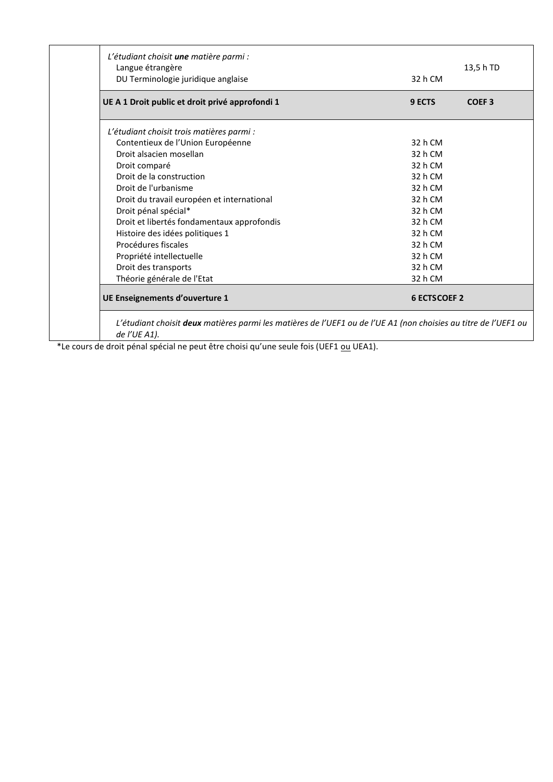| DU Terminologie juridique anglaise              | 32 h CM                     |
|-------------------------------------------------|-----------------------------|
| UE A 1 Droit public et droit privé approfondi 1 | COEF <sub>3</sub><br>9 ECTS |
| L'étudiant choisit trois matières parmi :       |                             |
| Contentieux de l'Union Européenne               | 32 h CM                     |
| Droit alsacien mosellan                         | 32 h CM                     |
| Droit comparé                                   | 32 h CM                     |
| Droit de la construction                        | 32 h CM                     |
| Droit de l'urbanisme                            | 32 h CM                     |
| Droit du travail européen et international      | 32 h CM                     |
| Droit pénal spécial*                            | 32 h CM                     |
| Droit et libertés fondamentaux approfondis      | 32 h CM                     |
| Histoire des idées politiques 1                 | 32 h CM                     |
| Procédures fiscales                             | 32 h CM                     |
| Propriété intellectuelle                        | 32 h CM                     |
| Droit des transports                            | 32 h CM                     |
| Théorie générale de l'Etat                      | 32 h CM                     |
| UE Enseignements d'ouverture 1                  | <b>6 ECTSCOEF 2</b>         |

\*Le cours de droit pénal spécial ne peut être choisi qu'une seule fois (UEF1 ou UEA1).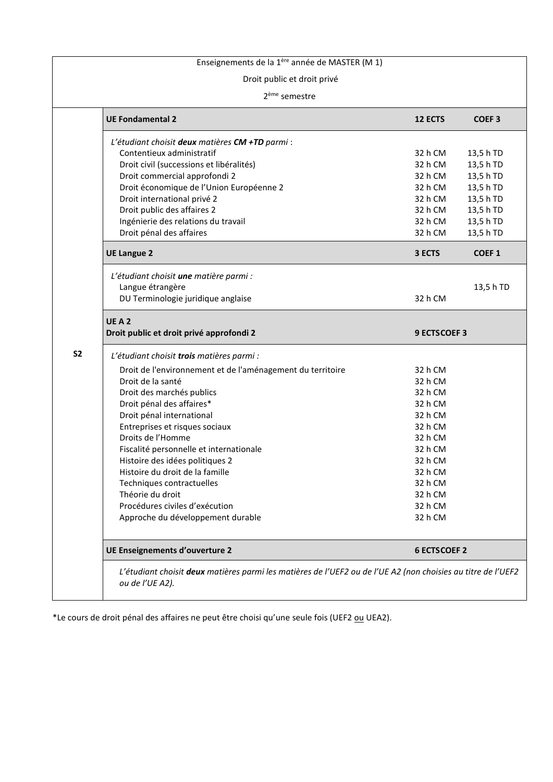# Enseignements de la 1ère année de MASTER (M 1)

### Droit public et droit privé

#### 2 ème semestre

|                                                            | 12 ECTS             | <b>COEF3</b>      |
|------------------------------------------------------------|---------------------|-------------------|
| L'étudiant choisit deux matières CM +TD parmi :            |                     |                   |
| Contentieux administratif                                  | 32 h CM             | 13,5 h TD         |
| Droit civil (successions et libéralités)                   | 32 h CM             | 13,5 h TD         |
| Droit commercial approfondi 2                              | 32 h CM             | 13,5 h TD         |
| Droit économique de l'Union Européenne 2                   | 32 h CM             | 13,5 h TD         |
| Droit international privé 2                                | 32 h CM             | 13,5 h TD         |
| Droit public des affaires 2                                | 32 h CM             | 13,5 h TD         |
| Ingénierie des relations du travail                        | 32 h CM             | 13,5 h TD         |
| Droit pénal des affaires                                   | 32 h CM             | 13,5 h TD         |
| <b>UE Langue 2</b>                                         | 3 ECTS              | COEF <sub>1</sub> |
| L'étudiant choisit une matière parmi :                     |                     |                   |
| Langue étrangère                                           |                     | 13,5 h TD         |
| DU Terminologie juridique anglaise                         | 32 h CM             |                   |
| UEA2                                                       |                     |                   |
| Droit public et droit privé approfondi 2                   | <b>9 ECTSCOEF 3</b> |                   |
| L'étudiant choisit trois matières parmi :                  |                     |                   |
| Droit de l'environnement et de l'aménagement du territoire | 32 h CM             |                   |
| Droit de la santé                                          | 32 h CM             |                   |
| Droit des marchés publics                                  | 32 h CM             |                   |
| Droit pénal des affaires*                                  | 32 h CM             |                   |
| Droit pénal international                                  | 32 h CM             |                   |
|                                                            | 32 h CM             |                   |
| Entreprises et risques sociaux                             | 32 h CM             |                   |
| Droits de l'Homme                                          |                     |                   |
| Fiscalité personnelle et internationale                    | 32 h CM             |                   |
| Histoire des idées politiques 2                            | 32 h CM             |                   |
| Histoire du droit de la famille                            | 32 h CM             |                   |
| Techniques contractuelles                                  | 32 h CM             |                   |
| Théorie du droit                                           | 32 h CM             |                   |
| Procédures civiles d'exécution                             | 32 h CM             |                   |
| Approche du développement durable                          | 32 h CM             |                   |

\*Le cours de droit pénal des affaires ne peut être choisi qu'une seule fois (UEF2 ou UEA2).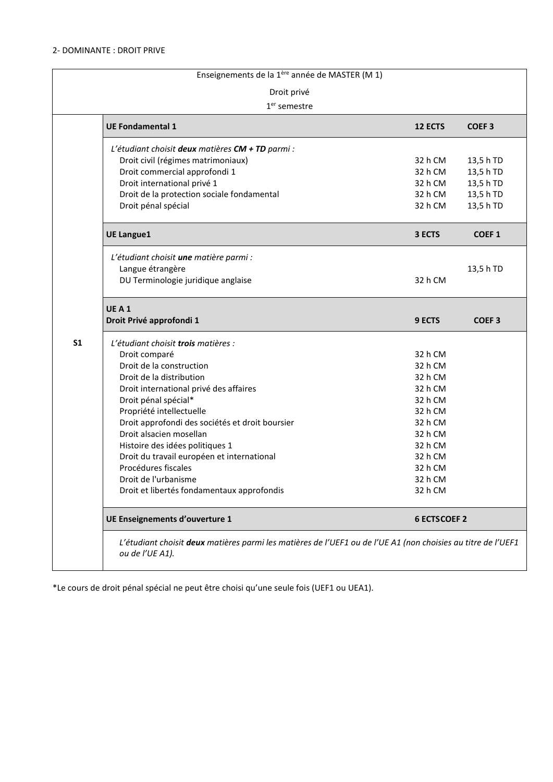## 2- DOMINANTE : DROIT PRIVE

| Enseignements de la 1ère année de MASTER (M 1) |                                                                                                                                                                                                                                                                                                                                                                                                                                                                        |                                                                                                                                             |                                                               |  |
|------------------------------------------------|------------------------------------------------------------------------------------------------------------------------------------------------------------------------------------------------------------------------------------------------------------------------------------------------------------------------------------------------------------------------------------------------------------------------------------------------------------------------|---------------------------------------------------------------------------------------------------------------------------------------------|---------------------------------------------------------------|--|
| Droit privé                                    |                                                                                                                                                                                                                                                                                                                                                                                                                                                                        |                                                                                                                                             |                                                               |  |
|                                                | $1er$ semestre                                                                                                                                                                                                                                                                                                                                                                                                                                                         |                                                                                                                                             |                                                               |  |
|                                                | <b>UE Fondamental 1</b>                                                                                                                                                                                                                                                                                                                                                                                                                                                | <b>12 ECTS</b>                                                                                                                              | <b>COEF3</b>                                                  |  |
|                                                | L'étudiant choisit deux matières CM + TD parmi :<br>Droit civil (régimes matrimoniaux)<br>Droit commercial approfondi 1<br>Droit international privé 1<br>Droit de la protection sociale fondamental<br>Droit pénal spécial                                                                                                                                                                                                                                            | 32 h CM<br>32 h CM<br>32 h CM<br>32 h CM<br>32 h CM                                                                                         | 13,5 h TD<br>13,5 h TD<br>13,5 h TD<br>13,5 h TD<br>13,5 h TD |  |
|                                                | <b>UE Langue1</b>                                                                                                                                                                                                                                                                                                                                                                                                                                                      | 3 ECTS                                                                                                                                      | <b>COEF1</b>                                                  |  |
|                                                | L'étudiant choisit une matière parmi :<br>Langue étrangère<br>DU Terminologie juridique anglaise                                                                                                                                                                                                                                                                                                                                                                       | 32 h CM                                                                                                                                     | 13,5 h TD                                                     |  |
|                                                | UEA1<br>Droit Privé approfondi 1                                                                                                                                                                                                                                                                                                                                                                                                                                       | 9 ECTS                                                                                                                                      | <b>COEF3</b>                                                  |  |
| S <sub>1</sub>                                 | L'étudiant choisit trois matières :<br>Droit comparé<br>Droit de la construction<br>Droit de la distribution<br>Droit international privé des affaires<br>Droit pénal spécial*<br>Propriété intellectuelle<br>Droit approfondi des sociétés et droit boursier<br>Droit alsacien mosellan<br>Histoire des idées politiques 1<br>Droit du travail européen et international<br>Procédures fiscales<br>Droit de l'urbanisme<br>Droit et libertés fondamentaux approfondis | 32 h CM<br>32 h CM<br>32 h CM<br>32 h CM<br>32 h CM<br>32 h CM<br>32 h CM<br>32 h CM<br>32 h CM<br>32 h CM<br>32 h CM<br>32 h CM<br>32 h CM |                                                               |  |
|                                                | UE Enseignements d'ouverture 1                                                                                                                                                                                                                                                                                                                                                                                                                                         | <b>6 ECTSCOEF 2</b>                                                                                                                         |                                                               |  |
|                                                | L'étudiant choisit deux matières parmi les matières de l'UEF1 ou de l'UE A1 (non choisies au titre de l'UEF1<br>ou de l'UE A1).                                                                                                                                                                                                                                                                                                                                        |                                                                                                                                             |                                                               |  |

\*Le cours de droit pénal spécial ne peut être choisi qu'une seule fois (UEF1 ou UEA1).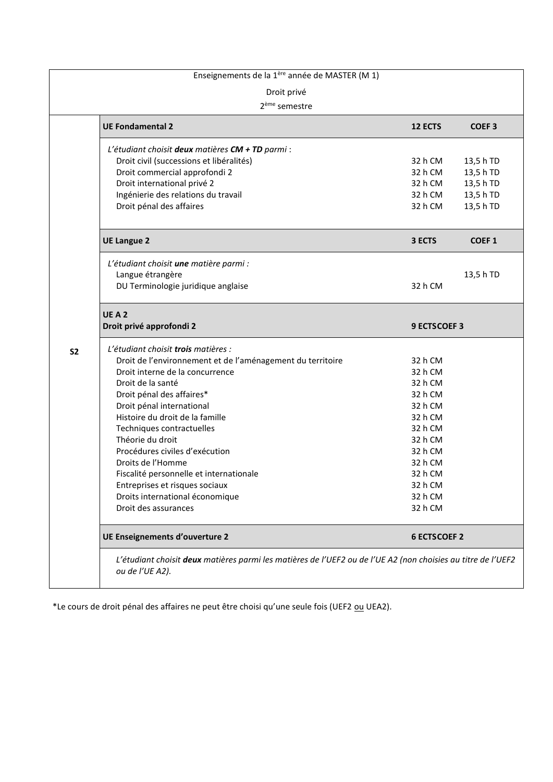|                | Enseignements de la 1ère année de MASTER (M 1)                                                                                  |                                          |                                                  |
|----------------|---------------------------------------------------------------------------------------------------------------------------------|------------------------------------------|--------------------------------------------------|
|                | Droit privé                                                                                                                     |                                          |                                                  |
|                | 2 <sup>ème</sup> semestre                                                                                                       |                                          |                                                  |
|                | <b>UE Fondamental 2</b>                                                                                                         | 12 ECTS                                  | <b>COEF3</b>                                     |
|                | L'étudiant choisit deux matières CM + TD parmi :<br>Droit civil (successions et libéralités)<br>Droit commercial approfondi 2   | 32 h CM                                  | 13,5 h TD                                        |
|                | Droit international privé 2<br>Ingénierie des relations du travail<br>Droit pénal des affaires                                  | 32 h CM<br>32 h CM<br>32 h CM<br>32 h CM | 13,5 h TD<br>13,5 h TD<br>13,5 h TD<br>13,5 h TD |
|                |                                                                                                                                 |                                          |                                                  |
|                | <b>UE Langue 2</b>                                                                                                              | 3 ECTS                                   | <b>COEF1</b>                                     |
|                | L'étudiant choisit une matière parmi :<br>Langue étrangère<br>DU Terminologie juridique anglaise                                | 32 h CM                                  | 13,5 h TD                                        |
|                |                                                                                                                                 |                                          |                                                  |
|                | UEA2<br>Droit privé approfondi 2                                                                                                | <b>9 ECTSCOEF 3</b>                      |                                                  |
| S <sub>2</sub> | L'étudiant choisit trois matières :                                                                                             |                                          |                                                  |
|                | Droit de l'environnement et de l'aménagement du territoire<br>Droit interne de la concurrence                                   | 32 h CM<br>32 h CM                       |                                                  |
|                | Droit de la santé                                                                                                               | 32 h CM                                  |                                                  |
|                | Droit pénal des affaires*                                                                                                       | 32 h CM                                  |                                                  |
|                | Droit pénal international                                                                                                       | 32 h CM                                  |                                                  |
|                | Histoire du droit de la famille                                                                                                 | 32 h CM                                  |                                                  |
|                | Techniques contractuelles                                                                                                       | 32 h CM                                  |                                                  |
|                | Théorie du droit                                                                                                                | 32 h CM                                  |                                                  |
|                | Procédures civiles d'exécution                                                                                                  | 32 h CM                                  |                                                  |
|                | Droits de l'Homme                                                                                                               | 32 h CM                                  |                                                  |
|                | Fiscalité personnelle et internationale                                                                                         | 32 h CM                                  |                                                  |
|                | Entreprises et risques sociaux                                                                                                  | 32 h CM                                  |                                                  |
|                | Droits international économique                                                                                                 | 32 h CM                                  |                                                  |
|                | Droit des assurances                                                                                                            | 32 h CM                                  |                                                  |
|                | UE Enseignements d'ouverture 2                                                                                                  | <b>6 ECTSCOEF 2</b>                      |                                                  |
|                | L'étudiant choisit deux matières parmi les matières de l'UEF2 ou de l'UE A2 (non choisies au titre de l'UEF2<br>ou de l'UE A2). |                                          |                                                  |

\*Le cours de droit pénal des affaires ne peut être choisi qu'une seule fois (UEF2 *ou* UEA2).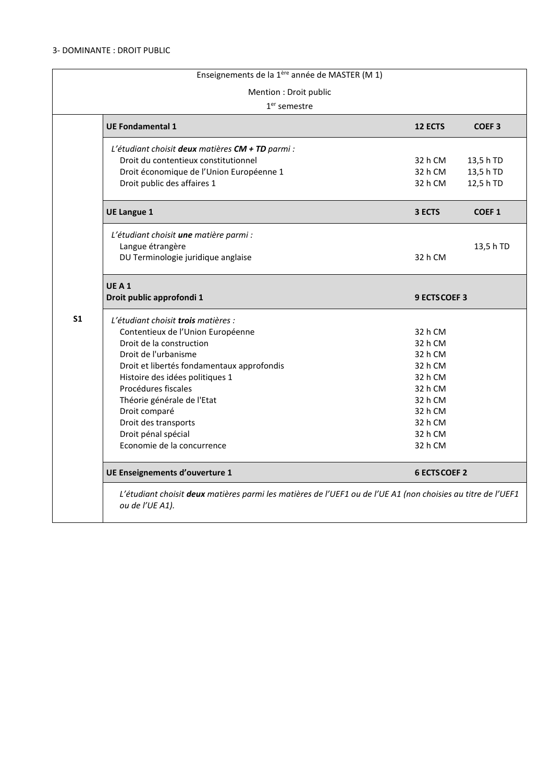|                | Enseignements de la 1ère année de MASTER (M 1)                                                                                  |                     |                        |
|----------------|---------------------------------------------------------------------------------------------------------------------------------|---------------------|------------------------|
|                | Mention : Droit public                                                                                                          |                     |                        |
|                | $1er$ semestre                                                                                                                  |                     |                        |
|                | <b>UE Fondamental 1</b>                                                                                                         | <b>12 ECTS</b>      | <b>COEF3</b>           |
|                | L'étudiant choisit deux matières CM + TD parmi :<br>Droit du contentieux constitutionnel                                        | 32 h CM             | 13,5 h TD              |
|                | Droit économique de l'Union Européenne 1<br>Droit public des affaires 1                                                         | 32 h CM<br>32 h CM  | 13,5 h TD<br>12,5 h TD |
|                | <b>UE Langue 1</b>                                                                                                              | 3 ECTS              | <b>COEF1</b>           |
|                | L'étudiant choisit une matière parmi :<br>Langue étrangère<br>DU Terminologie juridique anglaise                                | 32 h CM             | 13,5 h TD              |
|                | UEA1<br>Droit public approfondi 1                                                                                               | 9 ECTS COEF 3       |                        |
| S <sub>1</sub> | L'étudiant choisit trois matières :<br>Contentieux de l'Union Européenne                                                        | 32 h CM             |                        |
|                | Droit de la construction                                                                                                        | 32 h CM             |                        |
|                | Droit de l'urbanisme                                                                                                            | 32 h CM             |                        |
|                | Droit et libertés fondamentaux approfondis                                                                                      | 32 h CM             |                        |
|                | Histoire des idées politiques 1                                                                                                 | 32 h CM             |                        |
|                | Procédures fiscales                                                                                                             | 32 h CM             |                        |
|                | Théorie générale de l'Etat                                                                                                      | 32 h CM             |                        |
|                | Droit comparé<br>Droit des transports                                                                                           | 32 h CM<br>32 h CM  |                        |
|                | Droit pénal spécial                                                                                                             | 32 h CM             |                        |
|                | Economie de la concurrence                                                                                                      | 32 h CM             |                        |
|                | UE Enseignements d'ouverture 1                                                                                                  | <b>6 ECTSCOEF 2</b> |                        |
|                | L'étudiant choisit deux matières parmi les matières de l'UEF1 ou de l'UE A1 (non choisies au titre de l'UEF1<br>ou de l'UE A1). |                     |                        |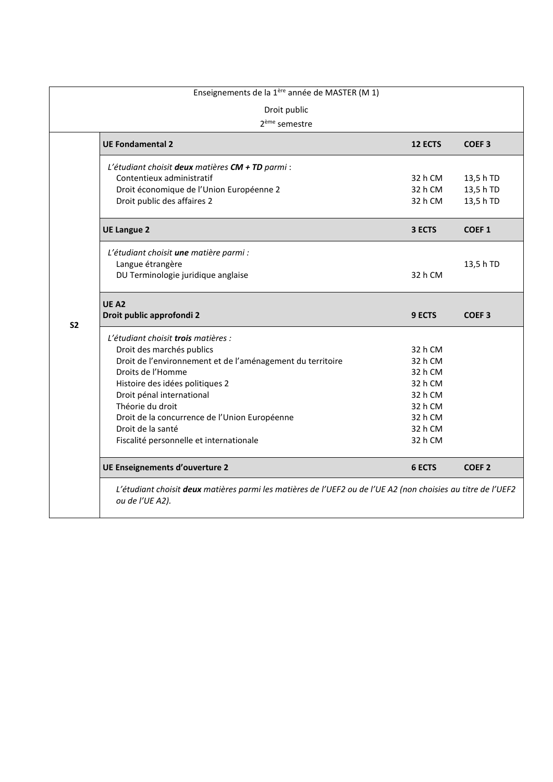|                | Enseignements de la 1ère année de MASTER (M 1)<br>Droit public |                |                   |
|----------------|----------------------------------------------------------------|----------------|-------------------|
|                | 2 <sup>ème</sup> semestre                                      |                |                   |
|                | <b>UE Fondamental 2</b>                                        | <b>12 ECTS</b> | <b>COEF3</b>      |
|                | L'étudiant choisit deux matières CM + TD parmi :               |                |                   |
|                | Contentieux administratif                                      | 32 h CM        | 13,5 h TD         |
|                | Droit économique de l'Union Européenne 2                       | 32 h CM        | 13,5 h TD         |
|                | Droit public des affaires 2                                    | 32 h CM        | 13,5 h TD         |
|                | <b>UE Langue 2</b>                                             | 3 ECTS         | COEF <sub>1</sub> |
|                | L'étudiant choisit une matière parmi :                         |                |                   |
|                | Langue étrangère                                               |                | 13,5 h TD         |
|                | DU Terminologie juridique anglaise                             | 32 h CM        |                   |
|                |                                                                |                |                   |
|                | UE A <sub>2</sub>                                              |                |                   |
|                | Droit public approfondi 2                                      | <b>9 ECTS</b>  | <b>COEF3</b>      |
| S <sub>2</sub> | L'étudiant choisit <b>trois</b> matières :                     |                |                   |
|                | Droit des marchés publics                                      | 32 h CM        |                   |
|                | Droit de l'environnement et de l'aménagement du territoire     | 32 h CM        |                   |
|                | Droits de l'Homme                                              | 32 h CM        |                   |
|                | Histoire des idées politiques 2                                | 32 h CM        |                   |
|                | Droit pénal international                                      | 32 h CM        |                   |
|                | Théorie du droit                                               | 32 h CM        |                   |
|                | Droit de la concurrence de l'Union Européenne                  | 32 h CM        |                   |
|                | Droit de la santé                                              | 32 h CM        |                   |
|                | Fiscalité personnelle et internationale                        | 32 h CM        |                   |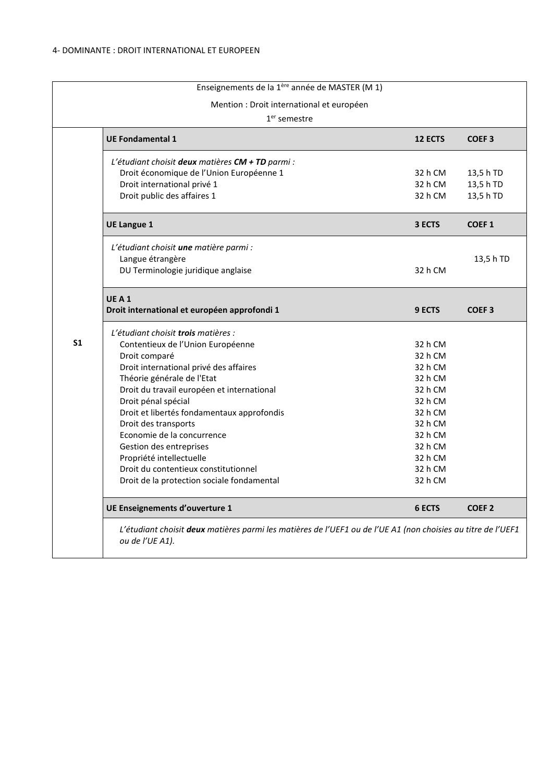|                | Enseignements de la 1ère année de MASTER (M 1)   |                |                   |
|----------------|--------------------------------------------------|----------------|-------------------|
|                | Mention : Droit international et européen        |                |                   |
|                | $1er$ semestre                                   |                |                   |
|                | <b>UE Fondamental 1</b>                          | <b>12 ECTS</b> | COEF <sub>3</sub> |
|                | L'étudiant choisit deux matières CM + TD parmi : |                |                   |
|                | Droit économique de l'Union Européenne 1         | 32 h CM        | 13,5 h TD         |
|                | Droit international privé 1                      | 32 h CM        | 13,5 h TD         |
|                | Droit public des affaires 1                      | 32 h CM        | 13,5 h TD         |
|                | <b>UE Langue 1</b>                               | 3 ECTS         | <b>COEF1</b>      |
|                | L'étudiant choisit une matière parmi :           |                |                   |
|                | Langue étrangère                                 |                | 13,5 h TD         |
|                | DU Terminologie juridique anglaise               | 32 h CM        |                   |
|                | UEA1                                             |                |                   |
|                | Droit international et européen approfondi 1     | <b>9 ECTS</b>  | <b>COEF3</b>      |
|                | L'étudiant choisit trois matières :              |                |                   |
| S <sub>1</sub> | Contentieux de l'Union Européenne                | 32 h CM        |                   |
|                | Droit comparé                                    | 32 h CM        |                   |
|                | Droit international privé des affaires           | 32 h CM        |                   |
|                | Théorie générale de l'Etat                       | 32 h CM        |                   |
|                | Droit du travail européen et international       | 32 h CM        |                   |
|                | Droit pénal spécial                              | 32 h CM        |                   |
|                | Droit et libertés fondamentaux approfondis       | 32 h CM        |                   |
|                | Droit des transports                             | 32 h CM        |                   |
|                | Economie de la concurrence                       | 32 h CM        |                   |
|                | Gestion des entreprises                          | 32 h CM        |                   |
|                | Propriété intellectuelle                         | 32 h CM        |                   |
|                | Droit du contentieux constitutionnel             | 32 h CM        |                   |
|                | Droit de la protection sociale fondamental       | 32 h CM        |                   |
|                | UE Enseignements d'ouverture 1                   | <b>6 ECTS</b>  | COEF <sub>2</sub> |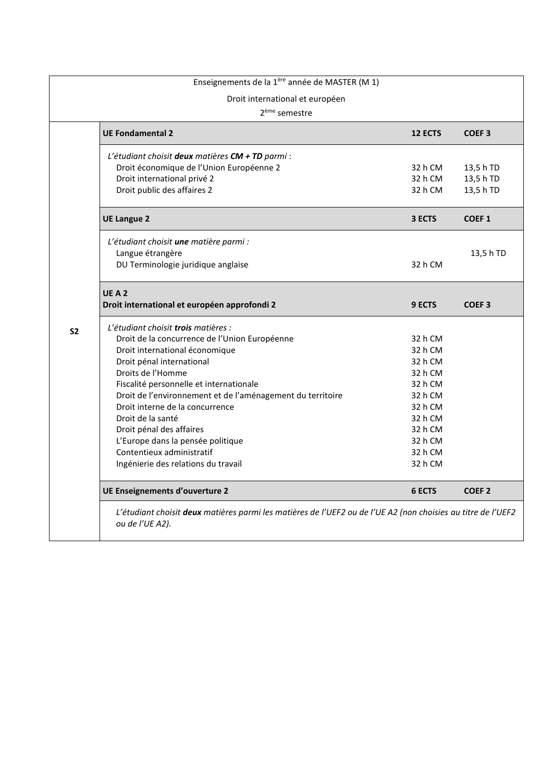|           | Enseignements de la 1ère année de MASTER (M 1)                                                                                  |                |                   |
|-----------|---------------------------------------------------------------------------------------------------------------------------------|----------------|-------------------|
|           | Droit international et européen                                                                                                 |                |                   |
|           | 2 <sup>ème</sup> semestre                                                                                                       |                |                   |
|           | <b>UE Fondamental 2</b>                                                                                                         | <b>12 ECTS</b> | <b>COEF3</b>      |
|           | L'étudiant choisit deux matières CM + TD parmi :                                                                                |                |                   |
|           | Droit économique de l'Union Européenne 2                                                                                        | 32 h CM        | 13,5 h TD         |
|           | Droit international privé 2                                                                                                     | 32 h CM        | 13,5 h TD         |
|           | Droit public des affaires 2                                                                                                     | 32 h CM        | 13,5 h TD         |
|           | <b>UE Langue 2</b>                                                                                                              | 3 ECTS         | <b>COEF1</b>      |
|           | L'étudiant choisit une matière parmi :                                                                                          |                |                   |
|           | Langue étrangère                                                                                                                |                | 13,5 h TD         |
|           | DU Terminologie juridique anglaise                                                                                              | 32 h CM        |                   |
|           | UEA <sub>2</sub>                                                                                                                |                |                   |
|           | Droit international et européen approfondi 2                                                                                    | 9 ECTS         | <b>COEF3</b>      |
| <b>S2</b> | L'étudiant choisit trois matières :                                                                                             |                |                   |
|           | Droit de la concurrence de l'Union Européenne                                                                                   | 32 h CM        |                   |
|           | Droit international économique                                                                                                  | 32 h CM        |                   |
|           | Droit pénal international                                                                                                       | 32 h CM        |                   |
|           | Droits de l'Homme                                                                                                               | 32 h CM        |                   |
|           | Fiscalité personnelle et internationale                                                                                         | 32 h CM        |                   |
|           | Droit de l'environnement et de l'aménagement du territoire                                                                      | 32 h CM        |                   |
|           | Droit interne de la concurrence                                                                                                 | 32 h CM        |                   |
|           | Droit de la santé                                                                                                               | 32 h CM        |                   |
|           | Droit pénal des affaires                                                                                                        | 32 h CM        |                   |
|           | L'Europe dans la pensée politique                                                                                               | 32 h CM        |                   |
|           | Contentieux administratif                                                                                                       | 32 h CM        |                   |
|           | Ingénierie des relations du travail                                                                                             | 32 h CM        |                   |
|           | UE Enseignements d'ouverture 2                                                                                                  | 6 ECTS         | COEF <sub>2</sub> |
|           | L'étudiant choisit deux matières parmi les matières de l'UEF2 ou de l'UE A2 (non choisies au titre de l'UEF2<br>ou de l'UE A2). |                |                   |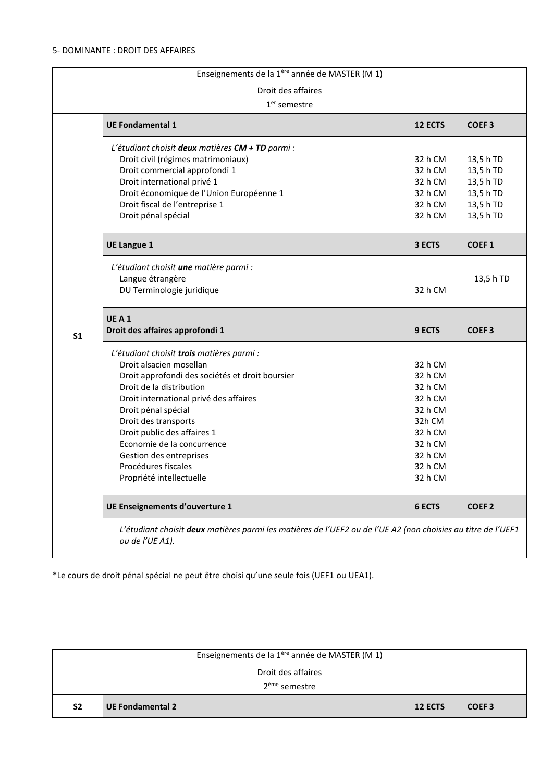|                | Enseignements de la 1ère année de MASTER (M 1)                                                                                                                                                                                                                                                                                                                                          |                                                                                                                      |                                                                                                         |
|----------------|-----------------------------------------------------------------------------------------------------------------------------------------------------------------------------------------------------------------------------------------------------------------------------------------------------------------------------------------------------------------------------------------|----------------------------------------------------------------------------------------------------------------------|---------------------------------------------------------------------------------------------------------|
|                | Droit des affaires                                                                                                                                                                                                                                                                                                                                                                      |                                                                                                                      |                                                                                                         |
|                | $1er$ semestre                                                                                                                                                                                                                                                                                                                                                                          |                                                                                                                      |                                                                                                         |
|                | <b>UE Fondamental 1</b>                                                                                                                                                                                                                                                                                                                                                                 | 12 ECTS                                                                                                              | COEF <sub>3</sub>                                                                                       |
|                | L'étudiant choisit deux matières CM + TD parmi :<br>Droit civil (régimes matrimoniaux)<br>Droit commercial approfondi 1<br>Droit international privé 1<br>Droit économique de l'Union Européenne 1<br>Droit fiscal de l'entreprise 1<br>Droit pénal spécial<br><b>UE Langue 1</b><br>L'étudiant choisit une matière parmi :<br>Langue étrangère<br>DU Terminologie juridique            | 32 h CM<br>32 h CM<br>32 h CM<br>32 h CM<br>32 h CM<br>32 h CM<br>3 ECTS<br>32 h CM                                  | 13,5 h TD<br>13,5 h TD<br>13,5 h TD<br>13,5 h TD<br>13,5 h TD<br>13,5 h TD<br><b>COEF1</b><br>13,5 h TD |
| S <sub>1</sub> | UEA1<br>Droit des affaires approfondi 1                                                                                                                                                                                                                                                                                                                                                 | 9 ECTS                                                                                                               | <b>COEF3</b>                                                                                            |
|                | L'étudiant choisit trois matières parmi :<br>Droit alsacien mosellan<br>Droit approfondi des sociétés et droit boursier<br>Droit de la distribution<br>Droit international privé des affaires<br>Droit pénal spécial<br>Droit des transports<br>Droit public des affaires 1<br>Economie de la concurrence<br>Gestion des entreprises<br>Procédures fiscales<br>Propriété intellectuelle | 32 h CM<br>32 h CM<br>32 h CM<br>32 h CM<br>32 h CM<br>32h CM<br>32 h CM<br>32 h CM<br>32 h CM<br>32 h CM<br>32 h CM |                                                                                                         |
|                | UE Enseignements d'ouverture 1                                                                                                                                                                                                                                                                                                                                                          | 6 ECTS                                                                                                               | <b>COEF 2</b>                                                                                           |
|                | L'étudiant choisit deux matières parmi les matières de l'UEF2 ou de l'UE A2 (non choisies au titre de l'UEF1<br>ou de l'UE A1).                                                                                                                                                                                                                                                         |                                                                                                                      |                                                                                                         |

\*Le cours de droit pénal spécial ne peut être choisi qu'une seule fois (UEF1 *ou* UEA1).

|                | Enseignements de la 1ère année de MASTER (M 1) |         |                   |
|----------------|------------------------------------------------|---------|-------------------|
|                | Droit des affaires                             |         |                   |
|                | 2 <sup>ème</sup> semestre                      |         |                   |
| S <sub>2</sub> | <b>UE Fondamental 2</b>                        | 12 ECTS | COEF <sub>3</sub> |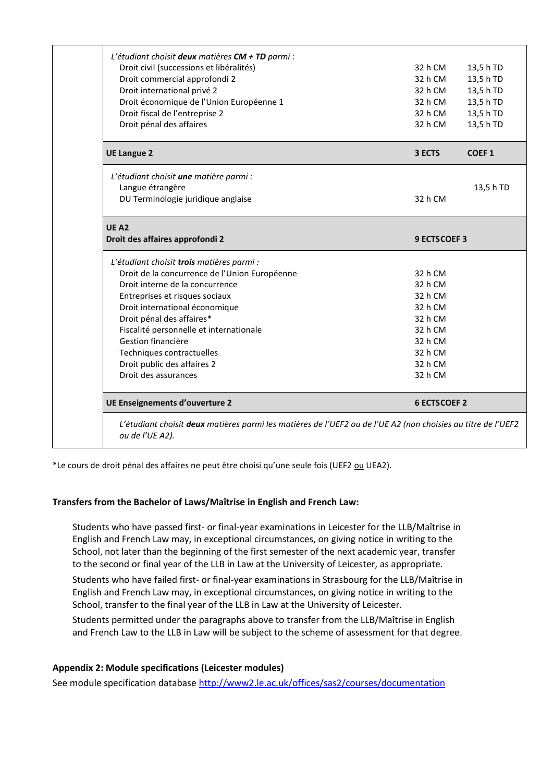| L'étudiant choisit deux matières CM + TD parmi :<br>Droit civil (successions et libéralités) | 32 h CM             | 13,5 h TD    |
|----------------------------------------------------------------------------------------------|---------------------|--------------|
| Droit commercial approfondi 2                                                                | 32 h CM             | 13,5 h TD    |
| Droit international privé 2                                                                  | 32 h CM             | 13,5 h TD    |
| Droit économique de l'Union Européenne 1                                                     | 32 h CM             | 13,5 h TD    |
| Droit fiscal de l'entreprise 2                                                               | 32 h CM             | 13,5 h TD    |
| Droit pénal des affaires                                                                     | 32 h CM             | 13,5 h TD    |
| <b>UE Langue 2</b>                                                                           | 3 ECTS              | <b>COEF1</b> |
| L'étudiant choisit une matière parmi :                                                       |                     |              |
| Langue étrangère                                                                             |                     | 13,5 h TD    |
| DU Terminologie juridique anglaise                                                           | 32 h CM             |              |
| <b>UE A2</b>                                                                                 |                     |              |
| Droit des affaires approfondi 2                                                              | <b>9 ECTSCOEF 3</b> |              |
| L'étudiant choisit trois matières parmi :                                                    |                     |              |
| Droit de la concurrence de l'Union Européenne                                                | 32 h CM             |              |
| Droit interne de la concurrence                                                              | 32 h CM             |              |
| Entreprises et risques sociaux                                                               | 32 h CM             |              |
| Droit international économique                                                               | 32 h CM             |              |
| Droit pénal des affaires*                                                                    | 32 h CM             |              |
| Fiscalité personnelle et internationale                                                      | 32 h CM             |              |
| Gestion financière                                                                           | 32 h CM             |              |
| Techniques contractuelles                                                                    | 32 h CM             |              |
| Droit public des affaires 2                                                                  | 32 h CM             |              |
| Droit des assurances                                                                         | 32 h CM             |              |
|                                                                                              |                     |              |

\*Le cours de droit pénal des affaires ne peut être choisi qu'une seule fois (UEF2 ou UEA2).

## **Transfers from the Bachelor of Laws/Maîtrise in English and French Law:**

Students who have passed first- or final-year examinations in Leicester for the LLB/Maîtrise in English and French Law may, in exceptional circumstances, on giving notice in writing to the School, not later than the beginning of the first semester of the next academic year, transfer to the second or final year of the LLB in Law at the University of Leicester, as appropriate.

Students who have failed first- or final-year examinations in Strasbourg for the LLB/Maîtrise in English and French Law may, in exceptional circumstances, on giving notice in writing to the School, transfer to the final year of the LLB in Law at the University of Leicester.

Students permitted under the paragraphs above to transfer from the LLB/Maîtrise in English and French Law to the LLB in Law will be subject to the scheme of assessment for that degree.

### **Appendix 2: Module specifications (Leicester modules)**

See module specification database <http://www2.le.ac.uk/offices/sas2/courses/documentation>